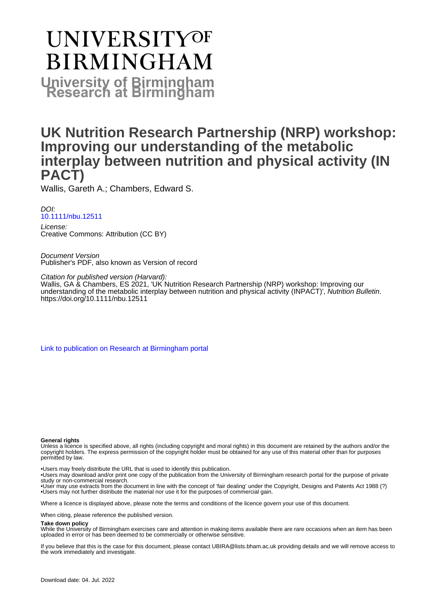# UNIVERSITYOF **BIRMINGHAM University of Birmingham**

## **UK Nutrition Research Partnership (NRP) workshop: Improving our understanding of the metabolic interplay between nutrition and physical activity (IN PACT)**

Wallis, Gareth A.; Chambers, Edward S.

DOI: [10.1111/nbu.12511](https://doi.org/10.1111/nbu.12511)

License: Creative Commons: Attribution (CC BY)

Document Version Publisher's PDF, also known as Version of record

Citation for published version (Harvard): Wallis, GA & Chambers, ES 2021, 'UK Nutrition Research Partnership (NRP) workshop: Improving our understanding of the metabolic interplay between nutrition and physical activity (INPACT)', Nutrition Bulletin. <https://doi.org/10.1111/nbu.12511>

[Link to publication on Research at Birmingham portal](https://birmingham.elsevierpure.com/en/publications/f89b2fbe-8a4b-4ba1-a002-b7cc72c08dfb)

#### **General rights**

Unless a licence is specified above, all rights (including copyright and moral rights) in this document are retained by the authors and/or the copyright holders. The express permission of the copyright holder must be obtained for any use of this material other than for purposes permitted by law.

• Users may freely distribute the URL that is used to identify this publication.

• Users may download and/or print one copy of the publication from the University of Birmingham research portal for the purpose of private study or non-commercial research.

• User may use extracts from the document in line with the concept of 'fair dealing' under the Copyright, Designs and Patents Act 1988 (?) • Users may not further distribute the material nor use it for the purposes of commercial gain.

Where a licence is displayed above, please note the terms and conditions of the licence govern your use of this document.

When citing, please reference the published version.

#### **Take down policy**

While the University of Birmingham exercises care and attention in making items available there are rare occasions when an item has been uploaded in error or has been deemed to be commercially or otherwise sensitive.

If you believe that this is the case for this document, please contact UBIRA@lists.bham.ac.uk providing details and we will remove access to the work immediately and investigate.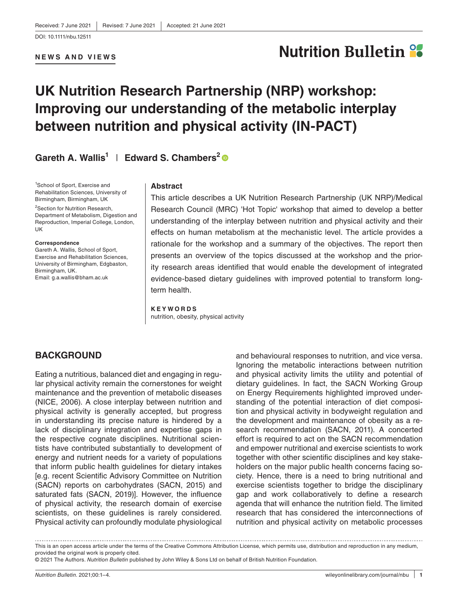#### **NEWS AND VIEWS**

## **Nutrition Bulletin 28**

## **UK Nutrition Research Partnership (NRP) workshop: Improving our understanding of the metabolic interplay between nutrition and physical activity (IN-PACT)**

## **Gareth A. Wallis1** | **Edward S. Chambers[2](https://orcid.org/0000-0001-7074-1312)**

<sup>1</sup>School of Sport, Exercise and Rehabilitation Sciences, University of Birmingham, Birmingham, UK

<sup>2</sup>Section for Nutrition Research, Department of Metabolism, Digestion and Reproduction, Imperial College, London, UK

#### **Correspondence**

Gareth A. Wallis, School of Sport, Exercise and Rehabilitation Sciences, University of Birmingham, Edgbaston, Birmingham, UK. Email: [g.a.wallis@bham.ac.uk](mailto:g.a.wallis@bham.ac.uk)

#### **Abstract**

This article describes a UK Nutrition Research Partnership (UK NRP)/Medical Research Council (MRC) 'Hot Topic' workshop that aimed to develop a better understanding of the interplay between nutrition and physical activity and their effects on human metabolism at the mechanistic level. The article provides a rationale for the workshop and a summary of the objectives. The report then presents an overview of the topics discussed at the workshop and the priority research areas identified that would enable the development of integrated evidence-based dietary guidelines with improved potential to transform longterm health.

#### **KEYWORDS** nutrition, obesity, physical activity

## **BACKGROUND**

Eating a nutritious, balanced diet and engaging in regular physical activity remain the cornerstones for weight maintenance and the prevention of metabolic diseases (NICE, 2006). A close interplay between nutrition and physical activity is generally accepted, but progress in understanding its precise nature is hindered by a lack of disciplinary integration and expertise gaps in the respective cognate disciplines. Nutritional scientists have contributed substantially to development of energy and nutrient needs for a variety of populations that inform public health guidelines for dietary intakes [e.g. recent Scientific Advisory Committee on Nutrition (SACN) reports on carbohydrates (SACN, 2015) and saturated fats (SACN, 2019)]. However, the influence of physical activity, the research domain of exercise scientists, on these guidelines is rarely considered. Physical activity can profoundly modulate physiological

and behavioural responses to nutrition, and vice versa. Ignoring the metabolic interactions between nutrition and physical activity limits the utility and potential of dietary guidelines. In fact, the SACN Working Group on Energy Requirements highlighted improved understanding of the potential interaction of diet composition and physical activity in bodyweight regulation and the development and maintenance of obesity as a research recommendation (SACN, 2011). A concerted effort is required to act on the SACN recommendation and empower nutritional and exercise scientists to work together with other scientific disciplines and key stakeholders on the major public health concerns facing society. Hence, there is a need to bring nutritional and exercise scientists together to bridge the disciplinary gap and work collaboratively to define a research agenda that will enhance the nutrition field. The limited research that has considered the interconnections of nutrition and physical activity on metabolic processes

This is an open access article under the terms of the [Creative Commons Attribution](http://creativecommons.org/licenses/by/4.0/) License, which permits use, distribution and reproduction in any medium, provided the original work is properly cited.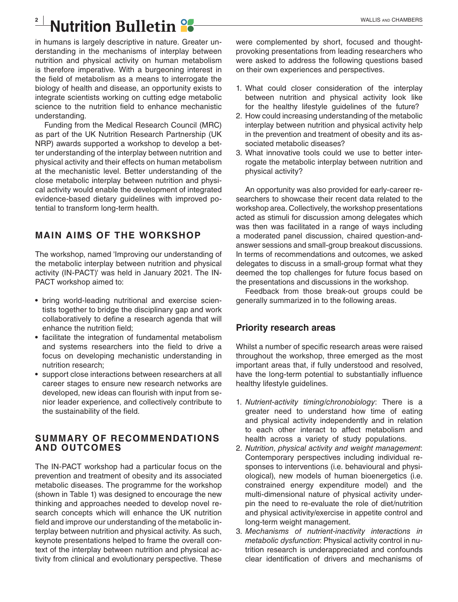# **Nutrition Bulletin 22 MALLIS AND CHAMBERS**

in humans is largely descriptive in nature. Greater understanding in the mechanisms of interplay between nutrition and physical activity on human metabolism is therefore imperative. With a burgeoning interest in the field of metabolism as a means to interrogate the biology of health and disease, an opportunity exists to integrate scientists working on cutting edge metabolic science to the nutrition field to enhance mechanistic understanding.

Funding from the Medical Research Council (MRC) as part of the UK Nutrition Research Partnership (UK NRP) awards supported a workshop to develop a better understanding of the interplay between nutrition and physical activity and their effects on human metabolism at the mechanistic level. Better understanding of the close metabolic interplay between nutrition and physical activity would enable the development of integrated evidence-based dietary guidelines with improved potential to transform long-term health.

## **MAIN AIMS OF THE WORKSHOP**

The workshop, named 'Improving our understanding of the metabolic interplay between nutrition and physical activity (IN-PACT)' was held in January 2021. The IN-PACT workshop aimed to:

- **•** bring world-leading nutritional and exercise scientists together to bridge the disciplinary gap and work collaboratively to define a research agenda that will enhance the nutrition field;
- **•** facilitate the integration of fundamental metabolism and systems researchers into the field to drive a focus on developing mechanistic understanding in nutrition research;
- **•** support close interactions between researchers at all career stages to ensure new research networks are developed, new ideas can flourish with input from senior leader experience, and collectively contribute to the sustainability of the field.

## **SUMMARY OF RECOMMENDATIONS AND OUTCOMES**

The IN-PACT workshop had a particular focus on the prevention and treatment of obesity and its associated metabolic diseases. The programme for the workshop (shown in Table 1) was designed to encourage the new thinking and approaches needed to develop novel research concepts which will enhance the UK nutrition field and improve our understanding of the metabolic interplay between nutrition and physical activity. As such, keynote presentations helped to frame the overall context of the interplay between nutrition and physical activity from clinical and evolutionary perspective. These were complemented by short, focused and thoughtprovoking presentations from leading researchers who were asked to address the following questions based on their own experiences and perspectives.

- 1. What could closer consideration of the interplay between nutrition and physical activity look like for the healthy lifestyle guidelines of the future?
- 2. How could increasing understanding of the metabolic interplay between nutrition and physical activity help in the prevention and treatment of obesity and its associated metabolic diseases?
- 3. What innovative tools could we use to better interrogate the metabolic interplay between nutrition and physical activity?

An opportunity was also provided for early-career researchers to showcase their recent data related to the workshop area. Collectively, the workshop presentations acted as stimuli for discussion among delegates which was then was facilitated in a range of ways including a moderated panel discussion, chaired question-andanswer sessions and small-group breakout discussions. In terms of recommendations and outcomes, we asked delegates to discuss in a small-group format what they deemed the top challenges for future focus based on the presentations and discussions in the workshop.

Feedback from those break-out groups could be generally summarized in to the following areas.

## **Priority research areas**

Whilst a number of specific research areas were raised throughout the workshop, three emerged as the most important areas that, if fully understood and resolved, have the long-term potential to substantially influence healthy lifestyle guidelines.

- 1. *Nutrient*-*activity timing*/*chronobiology*: There is a greater need to understand how time of eating and physical activity independently and in relation to each other interact to affect metabolism and health across a variety of study populations.
- 2. *Nutrition*, *physical activity and weight management*: Contemporary perspectives including individual responses to interventions (i.e. behavioural and physiological), new models of human bioenergetics (i.e. constrained energy expenditure model) and the multi-dimensional nature of physical activity underpin the need to re-evaluate the role of diet/nutrition and physical activity/exercise in appetite control and long-term weight management.
- 3. *Mechanisms of nutrient*-*inactivity interactions in metabolic dysfunction*: Physical activity control in nutrition research is underappreciated and confounds clear identification of drivers and mechanisms of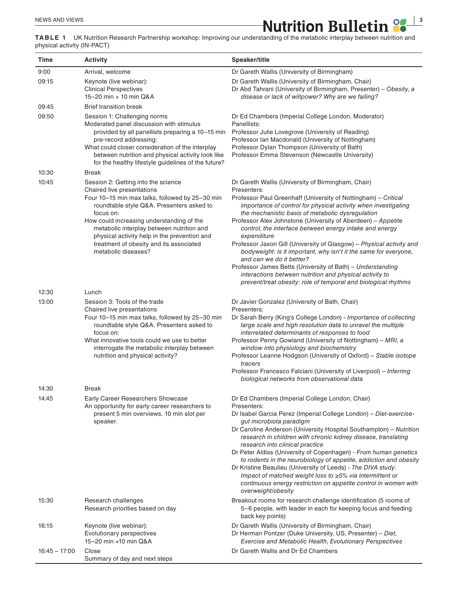**ALCORAGE AND VIEWS a 1 3 ALCORAGE AND VIEWS ALCORAGE AND VIEWS a 2 a 3 a 3 a 3 a 3 a 3 a 3 a 3 a 3 a 3 a 3 a 3 a 3 a 3 a 3 a 3 a 3 a 3 a** 

**TABLE 1** UK Nutrition Research Partnership workshop: Improving our understanding of the metabolic interplay between nutrition and physical activity (IN-PACT)

| Time            | <b>Activity</b>                                                                                                                                                                                                                                                                                                                                                                                     | Speaker/title                                                                                                                                                                                                                                                                                                                                                                                                                                                                                                                                                                                                                                                                                                                                                          |
|-----------------|-----------------------------------------------------------------------------------------------------------------------------------------------------------------------------------------------------------------------------------------------------------------------------------------------------------------------------------------------------------------------------------------------------|------------------------------------------------------------------------------------------------------------------------------------------------------------------------------------------------------------------------------------------------------------------------------------------------------------------------------------------------------------------------------------------------------------------------------------------------------------------------------------------------------------------------------------------------------------------------------------------------------------------------------------------------------------------------------------------------------------------------------------------------------------------------|
| 9:00            | Arrival, welcome                                                                                                                                                                                                                                                                                                                                                                                    | Dr Gareth Wallis (University of Birmingham)                                                                                                                                                                                                                                                                                                                                                                                                                                                                                                                                                                                                                                                                                                                            |
| 09:15           | Keynote (live webinar):<br><b>Clinical Perspectives</b><br>15-20 min + 10 min Q&A                                                                                                                                                                                                                                                                                                                   | Dr Gareth Wallis (University of Birmingham, Chair)<br>Dr Abd Tahrani (University of Birmingham, Presenter) - Obesity, a<br>disease or lack of willpower? Why are we failing?                                                                                                                                                                                                                                                                                                                                                                                                                                                                                                                                                                                           |
| 09:45           | <b>Brief transition break</b>                                                                                                                                                                                                                                                                                                                                                                       |                                                                                                                                                                                                                                                                                                                                                                                                                                                                                                                                                                                                                                                                                                                                                                        |
| 09:50           | Session 1: Challenging norms<br>Moderated panel discussion with stimulus<br>provided by all panellists preparing a 10-15 min<br>pre-record addressing:<br>What could closer consideration of the interplay<br>between nutrition and physical activity look like<br>for the healthy lifestyle guidelines of the future?                                                                              | Dr Ed Chambers (Imperial College London, Moderator)<br>Panellists:<br>Professor Julie Lovegrove (University of Reading)<br>Professor Ian Macdonald (University of Nottingham)<br>Professor Dylan Thompson (University of Bath)<br>Professor Emma Stevenson (Newcastle University)                                                                                                                                                                                                                                                                                                                                                                                                                                                                                      |
| 10:30           | <b>Break</b>                                                                                                                                                                                                                                                                                                                                                                                        |                                                                                                                                                                                                                                                                                                                                                                                                                                                                                                                                                                                                                                                                                                                                                                        |
| 10:45<br>12:30  | Session 2: Getting into the science<br>Chaired live presentations<br>Four 10-15 min max talks, followed by 25-30 min<br>roundtable style Q&A. Presenters asked to<br>focus on:<br>How could increasing understanding of the<br>metabolic interplay between nutrition and<br>physical activity help in the prevention and<br>treatment of obesity and its associated<br>metabolic diseases?<br>Lunch | Dr Gareth Wallis (University of Birmingham, Chair)<br>Presenters:<br>Professor Paul Greenhaff (University of Nottingham) - Critical<br>importance of control for physical activity when investigating<br>the mechanistic basis of metabolic dysregulation<br>Professor Alex Johnstone (University of Aberdeen) - Appetite<br>control, the interface between energy intake and energy<br>expenditure<br>Professor Jason Gill (University of Glasgow) - Physical activity and<br>bodyweight: is it important, why isn't it the same for everyone,<br>and can we do it better?<br>Professor James Betts (University of Bath) - Understanding<br>interactions between nutrition and physical activity to<br>prevent/treat obesity: role of temporal and biological rhythms |
|                 |                                                                                                                                                                                                                                                                                                                                                                                                     |                                                                                                                                                                                                                                                                                                                                                                                                                                                                                                                                                                                                                                                                                                                                                                        |
| 13:00           | Session 3: Tools of the trade<br>Chaired live presentations<br>Four 10–15 min max talks, followed by 25–30 min<br>roundtable style Q&A. Presenters asked to<br>focus on:<br>What innovative tools could we use to better<br>interrogate the metabolic interplay between<br>nutrition and physical activity?                                                                                         | Dr Javier Gonzalez (University of Bath, Chair)<br>Presenters:<br>Dr Sarah Berry (King's College London) - Importance of collecting<br>large scale and high resolution data to unravel the multiple<br>interrelated determinants of responses to food<br>Professor Penny Gowland (University of Nottingham) – MRI, a<br>window into physiology and biochemistry<br>Professor Leanne Hodgson (University of Oxford) - Stable isotope<br>tracers<br>Professor Francesco Falciani (University of Liverpool) - Inferring<br>biological networks from observational data                                                                                                                                                                                                     |
| 14:30           | <b>Break</b>                                                                                                                                                                                                                                                                                                                                                                                        |                                                                                                                                                                                                                                                                                                                                                                                                                                                                                                                                                                                                                                                                                                                                                                        |
| 14:45           | Early Career Researchers Showcase<br>An opportunity for early career researchers to<br>present 5 min overviews. 10 min slot per<br>speaker.                                                                                                                                                                                                                                                         | Dr Ed Chambers (Imperial College London, Chair)<br>Presenters:<br>Dr Isabel Garcia Perez (Imperial College London) - Diet-exercise-<br>gut microbiota paradigm<br>Dr Caroline Anderson (University Hospital Southampton) - Nutrition<br>research in children with chronic kidney disease, translating<br>research into clinical practice<br>Dr Peter Aldiss (University of Copenhagen) - From human genetics<br>to rodents in the neurobiology of appetite, addiction and obesity<br>Dr Kristine Beaulieu (University of Leeds) - The DIVA study:<br>Impact of matched weight loss to ≥5% via intermittent or<br>continuous energy restriction on appetite control in women with<br>overweight/obesity                                                                 |
| 15:30           | Research challenges<br>Research priorities based on day                                                                                                                                                                                                                                                                                                                                             | Breakout rooms for research challenge identification (5 rooms of<br>5-6 people, with leader in each for keeping focus and feeding<br>back key points)                                                                                                                                                                                                                                                                                                                                                                                                                                                                                                                                                                                                                  |
| 16:15           | Keynote (live webinar):<br>Evolutionary perspectives<br>15-20 min +10 min Q&A                                                                                                                                                                                                                                                                                                                       | Dr Gareth Wallis (University of Birmingham, Chair)<br>Dr Herman Pontzer (Duke University, US, Presenter) - Diet,<br><b>Exercise and Metabolic Health, Evolutionary Perspectives</b>                                                                                                                                                                                                                                                                                                                                                                                                                                                                                                                                                                                    |
| $16:45 - 17:00$ | Close<br>Summary of day and next steps                                                                                                                                                                                                                                                                                                                                                              | Dr Gareth Wallis and Dr Ed Chambers                                                                                                                                                                                                                                                                                                                                                                                                                                                                                                                                                                                                                                                                                                                                    |